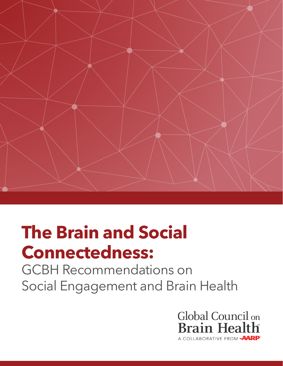

# **The Brain and Social Connectedness:**

GCBH Recommendations on Social Engagement and Brain Health

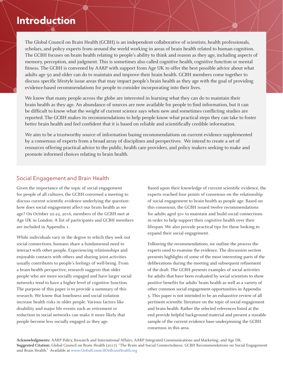## Introduction

The Global Council on Brain Health (GCBH) is an independent collaborative of scientists, health professionals, scholars, and policy experts from around the world working in areas of brain health related to human cognition. The GCBH focuses on brain health relating to people's ability to think and reason as they age, including aspects of memory, perception, and judgment. This is sometimes also called cognitive health, cognitive function or mental fitness. The GCBH is convened by AARP with support from Age UK to offer the best possible advice about what adults age 50 and older can do to maintain and improve their brain health. GCBH members come together to discuss specific lifestyle issue areas that may impact people's brain health as they age with the goal of providing evidence-based recommendations for people to consider incorporating into their lives.

We know that many people across the globe are interested in learning what they can do to maintain their brain health as they age. An abundance of sources are now available for people to find information, but it can be difficult to know what the weight of current science says when new and sometimes conflicting studies are reported. The GCBH makes its recommendations to help people know what practical steps they can take to foster better brain health and feel confident that it is based on reliable and scientifically credible information.

We aim to be a trustworthy source of information basing recommendations on current evidence supplemented by a consensus of experts from a broad array of disciplines and perspectives. We intend to create a set of resources offering practical advice to the public, health care providers, and policy makers seeking to make and promote informed choices relating to brain health.

### Social Engagement and Brain Health

Given the importance of the topic of social engagement for people of all cultures, the GCBH convened a meeting to discuss current scientific evidence underlying the question: how does social engagement affect our brain health as we age? On October 20-22, 2016, members of the GCBH met at Age UK in London. A list of participants and GCBH members are included in Appendix 1.

While individuals vary in the degree to which they seek out social connections, humans share a fundamental need to interact with other people. Experiencing relationships and enjoyable contacts with others and sharing joint activities usually contributes to people's feelings of well-being. From a brain health perspective, research suggests that older people who are more socially engaged and have larger social networks tend to have a higher level of cognitive function. The purpose of this paper is to provide a summary of this research. We know that loneliness and social isolation increase health risks in older people. Various factors like disability and major life events such as retirement or reduction in social networks can make it more likely that people become less socially engaged as they age.

Based upon their knowledge of current scientific evidence, the experts reached four points of consensus on the relationship of social engagement to brain health as people age. Based on this consensus, the GCBH issued twelve recommendations for adults aged 50+ to maintain and build social connections in order to help support their cognitive health over their lifespan. We also provide practical tips for those looking to expand their social engagement.

Following the recommendations, we outline the process the experts used to examine the evidence. The discussion section presents highlights of some of the most interesting parts of the deliberations during the meeting and subsequent refinement of the draft. The GCBH presents examples of social activities for adults that have been evaluated by social scientists to show positive benefits for adults' brain health as well as a variety of other common social engagement opportunities in Appendix 5. This paper is not intended to be an exhaustive review of all pertinent scientific literature on the topic of social engagement and brain health. Rather the selected references listed at the end provide helpful background material and present a sizeable sample of the current evidence base underpinning the GCBH consensus in this area.

**Acknowledgments:** AARP Policy, Research and International Affairs; AARP Integrated Communications and Marketing; and Age UK. **Suggested Citation:** Global Council on Brain Health (2017). "The Brain and Social Connectedness: GCBH Recommendations on Social Engagement and Brain Health." Available at www.GlobalCouncilOnBrainHealth.org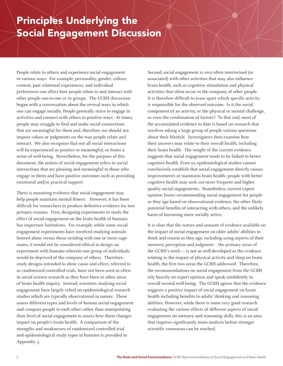## Principles Underlying the Social Engagement Discussion

People relate to others and experience social engagement in various ways. For example, personality, gender, culture, context, past relational experiences, and individual preferences can affect how people relate to and interact with other people one-to-one or in groups. The GCBH discussion began with a conversation about the several ways in which one can engage socially. People generally strive to engage in activities and connect with others in positive ways. At times, people may struggle to find and make social connections that are meaningful for them and, therefore, we should not impose values or judgments on the way people relate and interact. We also recognize that not all social interactions will be experienced as positive or meaningful, or foster a sense of well-being. Nevertheless, for the purpose of this document, the notion of social engagement refers to social interactions that are pleasing and meaningful to those who engage in them and have positive outcomes such as providing emotional and/or practical support.

There is mounting evidence that social engagement may help people maintain mental fitness. However, it has been difficult for researchers to produce definitive evidence for two primary reasons. First, designing experiments to study the effect of social engagement on the brain health of humans has important limitations. For example, while some social engagement experiments have involved studying animals housed alone versus those residing with one or more cagemates, it would not be considered ethical to design an experiment with humans wherein one group of individuals would be deprived of the company of others. Therefore, study designs intended to show cause and effect, referred to as randomized controlled trials, have not been used as often in social science research as they have been in other areas of brain health inquiry. Instead, scientists studying social engagement have largely relied on epidemiological research studies which are typically observational in nature. These assess different types and levels of human social engagement and compare people to each other rather than manipulating their level of social engagement to assess how those changes impact on people's brain health. A comparison of the strengths and weaknesses of randomized controlled trial and epidemiological study types in humans is provided in Appendix 3.

Second, social engagement is very often intertwined (or associated) with other activities that may also influence brain health, such as cognitive stimulation and physical activities that often occur in the company of other people. It is therefore difficult to tease apart which specific activity is responsible for the observed outcome. Is it the social component of an activity, or the physical or mental challenge, or even the combination of factors? To that end, most of the accumulated evidence to date is based on research that involves asking a large group of people various questions about their lifestyle. Investigators then examine how their answers may relate to their overall health, including their brain health. The weight of the current evidence suggests that social engagement tends to be linked to better cognitive health. Even so, epidemiological studies cannot conclusively establish that social engagement directly causes improvements or maintains brain health; people with better cognitive health may seek out more frequent and higher quality social engagements. Nonetheless, current expert opinion favors recommending social engagement for people as they age based on observational evidence, the other likely potential benefits of interacting with others, and the unlikely harm of becoming more socially active.

It is clear that the nature and amount of evidence available on the impact of social engagement on older adults' abilities to think and reason as they age, including using aspects of their memory, perception and judgment – the primary areas of the GCBH's work— is not as well-developed as the evidence relating to the impact of physical activity and sleep on brain health, the first two areas the GCBH addressed. Therefore, the recommendations on social engagement from the GCBH rely heavily on expert opinion and speak confidently to overall mental well-being. The GCBH agrees that the evidence suggests a positive impact of social engagement on brain health including benefits to adults' thinking and reasoning abilities. However, while there is some very good research evaluating the various effects of different aspects of social engagement on memory and reasoning skills, this is an area that requires significantly more analysis before stronger scientific consensus can be reached.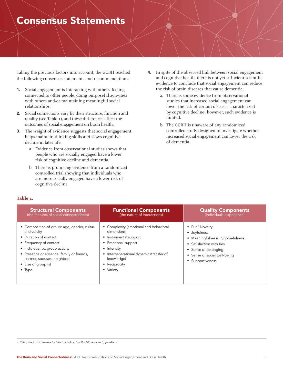## Consensus Statements

Taking the previous factors into account, the GCBH reached the following consensus statements and recommendations.

- 1. Social engagement is interacting with others, feeling connected to other people, doing purposeful activities with others and/or maintaining meaningful social relationships.
- 2. Social connections vary by their structure, function and quality (see Table 1), and these differences affect the outcomes of social engagement on brain health.
- 3. The weight of evidence suggests that social engagement helps maintain thinking skills and slows cognitive decline in later life.
	- a. Evidence from observational studies shows that people who are socially engaged have a lower risk of cognitive decline and dementia.<sup>1</sup>
	- b. There is promising evidence from a randomized controlled trial showing that individuals who are more socially engaged have a lower risk of cognitive decline.
- 4. In spite of the observed link between social engagement and cognitive health, there is not yet sufficient scientific evidence to conclude that social engagement can reduce the risk of brain diseases that cause dementia.
	- a. There is some evidence from observational studies that increased social engagement can lower the risk of certain diseases characterized by cognitive decline; however, such evidence is limited.
	- b. The GCBH is unaware of any randomized controlled study designed to investigate whether increased social engagement can lower the risk of dementia.

| -- | ۰. | . .<br>۰. | and the control of the con- |
|----|----|-----------|-----------------------------|
|    |    |           |                             |

| <b>Structural Components</b>                                                                                                                                                                                                                                            | <b>Functional Components</b>                                                                                                                                                                                | <b>Quality Components</b>                                                                                                                                                  |
|-------------------------------------------------------------------------------------------------------------------------------------------------------------------------------------------------------------------------------------------------------------------------|-------------------------------------------------------------------------------------------------------------------------------------------------------------------------------------------------------------|----------------------------------------------------------------------------------------------------------------------------------------------------------------------------|
| (the features of social connectedness)                                                                                                                                                                                                                                  | (the nature of interactions)                                                                                                                                                                                | (individuals' experience)                                                                                                                                                  |
| • Composition of group: age, gender, cultur-<br>al diversity<br>• Duration of contact<br>• Frequency of contact<br>• Individual vs. group activity<br>• Presence or absence: family or friends,<br>partner, spouses, neighbors<br>• Size of group (s)<br>$\bullet$ Type | Complexity (emotional and behavioral<br>dimensions)<br>• Instrumental support<br>• Emotional support<br>• Intensity<br>• Intergenerational dynamic (transfer of<br>knowledge)<br>• Reciprocity<br>• Variety | • Fun/ Novelty<br>· Joyfulness<br>• Meaningfulness/ Purposefulness<br>• Satisfaction with ties<br>• Sense of belonging<br>• Sense of social well-being<br>• Supportiveness |

*1 What the GCBH means by "risk" is defined in the Glossary in Appendix 2.*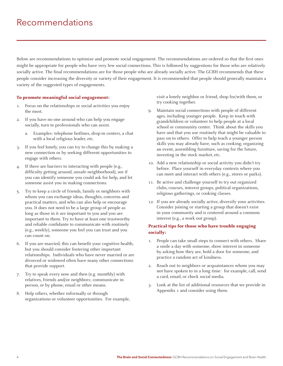## Recommendations

Below are recommendations to optimize and promote social engagement. The recommendations are ordered so that the first ones might be appropriate for people who have very few social connections. This is followed by suggestions for those who are relatively socially active. The final recommendations are for those people who are already socially active. The GCBH recommends that these people consider increasing the diversity or variety of their engagement. It is recommended that people should generally maintain a variety of the suggested types of engagements.

### **To promote meaningful social engagement:**

- 1. Focus on the relationships or social activities you enjoy the most.
- 2. If you have no one around who can help you engage socially, turn to professionals who can assist.
	- a. Examples: telephone hotlines, drop-in centers, a chat with a local religious leader, etc.
- 3. If you feel lonely, you can try to change this by making a new connection or by seeking different opportunities to engage with others.
- 4. If there are barriers to interacting with people (e.g., difficulty getting around, unsafe neighborhood), see if you can identify someone you could ask for help, and let someone assist you in making connections.
- 5. Try to keep a circle of friends, family or neighbors with whom you can exchange ideas, thoughts, concerns and practical matters, and who can also help or encourage you. It does not need to be a large group of people as long as those in it are important to you and you are important to them. Try to have at least one trustworthy and reliable confidante to communicate with routinely (e.g., weekly), someone you feel you can trust and you can count on.
- 6. If you are married, this can benefit your cognitive health, but you should consider fostering other important relationships. Individuals who have never married or are divorced or widowed often have many other connections that provide support.
- 7. Try to speak every now and then (e.g. monthly) with relatives, friends and/or neighbors; communicate in person, or by phone, email or other means.
- 8. Help others, whether informally or through organizations or volunteer opportunities. For example,

visit a lonely neighbor or friend, shop for/with them, or try cooking together.

- 9. Maintain social connections with people of different ages, including younger people. Keep in touch with grandchildren or volunteer to help people at a local school or community center. Think about the skills you have and that you use routinely that might be valuable to pass on to others. Offer to help teach a younger person skills you may already have, such as cooking, organizing an event, assembling furniture, saving for the future, investing in the stock market, etc.
- 10. Add a new relationship or social activity you didn't try before. Place yourself in everyday contexts where you can meet and interact with others (e.g., stores or parks).
- 11. Be active and challenge yourself to try out organized clubs, courses, interest groups, political organizations, religious gatherings, or cooking classes.
- 12. If you are already socially active, diversify your activities. Consider joining or starting a group that doesn't exist in your community and is centered around a common interest (e.g., a work out group).

### **Practical tips for those who have trouble engaging socially:**

- 1. People can take small steps to connect with others. Share a smile a day with someone, show interest in someone by asking how they are, hold a door for someone, and practice a random act of kindness.
- 2. Reach out to neighbors or acquaintances whom you may not have spoken to in a long time: for example, call, send a card, email, or check social media.
- 3. Look at the list of additional resources that we provide in Appendix 1 and consider using them.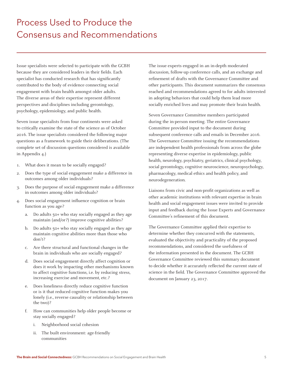## Process Used to Produce the Consensus and Recommendations

Issue specialists were selected to participate with the GCBH because they are considered leaders in their fields. Each specialist has conducted research that has significantly contributed to the body of evidence connecting social engagement with brain health amongst older adults. The diverse areas of their expertise represent different perspectives and disciplines including gerontology, psychology, epidemiology, and public health.

Seven issue specialists from four continents were asked to critically examine the state of the science as of October 2016. The issue specialists considered the following major questions as a framework to guide their deliberations. (The complete set of discussion questions considered is available in Appendix 4.)

- 1. What does it mean to be socially engaged?
- 2. Does the type of social engagement make a difference in outcomes among older individuals?
- 3. Does the purpose of social engagement make a difference in outcomes among older individuals?
- 4. Does social engagement influence cognition or brain function as you age?
	- a. Do adults 50+ who stay socially engaged as they age maintain (and/or?) improve cognitive abilities?
	- b. Do adults 50+ who stay socially engaged as they age maintain cognitive abilities more than those who don't?
	- c. Are there structural and functional changes in the brain in individuals who are socially engaged?
	- d. Does social engagement directly affect cognition or does it work by impacting other mechanisms known to affect cognitive functions, i.e. by reducing stress, increasing exercise and movement, etc.?
	- e. Does loneliness directly reduce cognitive function or is it that reduced cognitive function makes you lonely (i.e., reverse causality or relationship between the two)?
	- f. How can communities help older people become or stay socially engaged?
		- i. Neighborhood social cohesion
		- ii. The built environment: age-friendly communities

The issue experts engaged in an in-depth moderated discussion, follow-up conference calls, and an exchange and refinement of drafts with the Governance Committee and other participants. This document summarizes the consensus reached and recommendations agreed to for adults interested in adopting behaviors that could help them lead more socially enriched lives and may promote their brain health.

Seven Governance Committee members participated during the in-person meeting. The entire Governance Committee provided input to the document during subsequent conference calls and emails in December 2016. The Governance Committee issuing the recommendations are independent health professionals from across the globe representing diverse expertise in epidemiology, public health, neurology, psychiatry, geriatrics, clinical psychology, social gerontology, cognitive neuroscience, neuropsychology, pharmacology, medical ethics and health policy, and neurodegeneration.

Liaisons from civic and non-profit organizations as well as other academic institutions with relevant expertise in brain health and social engagement issues were invited to provide input and feedback during the Issue Experts and Governance Committee's refinement of this document.

The Governance Committee applied their expertise to determine whether they concurred with the statements, evaluated the objectivity and practicality of the proposed recommendations, and considered the usefulness of the information presented in the document. The GCBH Governance Committee reviewed this summary document to decide whether it accurately reflected the current state of science in the field. The Governance Committee approved the document on January 23, 2017.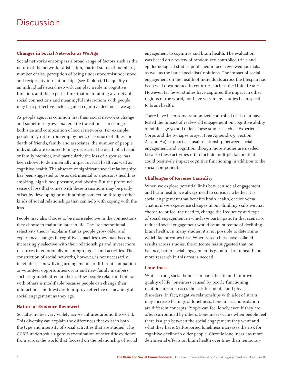### **Changes in Social Networks as We Age**

Social networks encompass a broad range of factors such as the nature of the network, satisfaction, marital status of members, number of ties, perception of being understood/misunderstood, and reciprocity in relationships (see Table 1). The quality of an individual's social network can play a role in cognitive function, and the experts think that maintaining a variety of social connections and meaningful interactions with people may be a protective factor against cognitive decline as we age.

As people age, it is common that their social networks change and sometimes grow smaller. Life transitions can change both size and composition of social networks. For example, people may retire from employment, or because of illness or death of friends, family and associates, the number of people individuals are exposed to may decrease. The death of a friend or family member, and particularly the loss of a spouse, has been shown to detrimentally impact overall health as well as cognitive health. The absence of significant social relationships has been suggested to be as detrimental to a person's health as smoking, high blood pressure, and obesity. But the profound sense of loss that comes with these transitions may be partly offset by developing or maintaining connection through other kinds of social relationships that can help with coping with the loss.

People may also choose to be more selective in the connections they choose to maintain later in life. The "socioemotional selectivity theory" explains that as people grow older and experience changes in cognitive capacities, they may become increasingly selective with their relationships and invest more resources in emotionally meaningful goals and activities. The constriction of social networks, however, is not necessarily inevitable, as new living arrangements or different companion or volunteer opportunities occur and new family members such as grandchildren are born. How people relate and interact with others is modifiable because people can change their interactions and lifestyles to improve effective or meaningful social engagement as they age.

### **Nature of Evidence Reviewed**

Social activities vary widely across cultures around the world. This diversity can explain the differences that exist in both the type and intensity of social activities that are studied. The GCBH undertook a rigorous examination of scientific evidence from across the world that focused on the relationship of social engagement to cognitive and brain health. The evaluation was based on a review of randomized controlled trials and epidemiological studies published in peer reviewed journals, as well as the issue specialists' opinions. The impact of social engagement on the health of individuals across the lifespan has been well documented in countries such as the United States. However, far fewer studies have captured the impact in other regions of the world, nor have very many studies been specific to brain health.

There have been some randomized controlled trials that have tested the impact of real-world engagement on cognitive ability of adults age 50 and older. These studies, such as Experience Corps and the Synapse project (See Appendix 5, Section A1 and A2), support a causal relationship between social engagement and cognition, though more studies are needed because these activities often include multiple factors that could positively impact cognitive functioning in addition to the social component.

### **Challenges of Reverse Causality**

When we explore potential links between social engagement and brain health, we always need to consider whether it is social engagement that benefits brain health, or vice versa. That is, if we experience changes in our thinking skills we may choose to, or feel the need to, change the frequency and type of social engagement in which we participate. In that scenario, reduced social engagement would be an outcome of declining brain health. In many studies, it's not possible to determine which factor comes first. When researchers have collated results across studies, the outcome has suggested that, on balance, better social engagement is good for brain health, but more research in this area is needed.

### **Loneliness**

While strong social bonds can boost health and improve quality of life, loneliness caused by poorly functioning relationships increases the risk for mental and physical disorders. In fact, negative relationships with a lot of strain may increase feelings of loneliness. Loneliness and isolation are different concepts. People can feel lonely even if they are often surrounded by others. Loneliness occurs when people feel there is a gap between the social engagement they want and what they have. Self-reported loneliness increases the risk for cognitive decline in older people. Chronic loneliness has more detrimental effects on brain health over time than temporary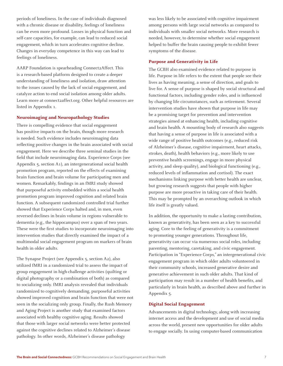periods of loneliness. In the case of individuals diagnosed with a chronic disease or disability, feelings of loneliness can be even more profound. Losses in physical function and self-care capacities, for example, can lead to reduced social engagement, which in turn accelerates cognitive decline. Changes in everyday competence in this way can lead to feelings of loneliness.

AARP Foundation is spearheading Connect2Affect. This is a research-based platform designed to create a deeper understanding of loneliness and isolation, draw attention to the issues caused by the lack of social engagement, and catalyze action to end social isolation among older adults. Learn more at connect2affect.org. Other helpful resources are listed in Appendix 1.

### **Neuroimaging and Neuropathology Studies**

There is compelling evidence that social engagement has positive impacts on the brain, though more research is needed. Such evidence includes neuroimaging data reflecting positive changes in the brain associated with social engagement. Here we describe three seminal studies in the field that include neuroimaging data. Experience Corps (see Appendix 5, section A1), an intergenerational social health promotion program, reported on the effects of examining brain function and brain volume for participating men and women. Remarkably, findings in an fMRI study showed that purposeful activity embedded within a social health promotion program improved cognition and related brain function. A subsequent randomized controlled trial further showed that Experience Corps halted and, in men, even reversed declines in brain volume in regions vulnerable to dementia (e.g., the hippocampus) over a span of two years. These were the first studies to incorporate neuroimaging into intervention studies that directly examined the impact of a multimodal social engagement program on markers of brain health in older adults.

The Synapse Project (see Appendix 5, section A2), also utilized fMRI in a randomized trial to assess the impact of group engagement in high-challenge activities (quilting or digital photography or a combination of both) as compared to socializing only. fMRI analysis revealed that individuals randomized to cognitively demanding, purposeful activities showed improved cognition and brain function that were not seen in the socializing only group. Finally, the Rush Memory and Aging Project is another study that examined factors associated with healthy cognitive aging. Results showed that those with larger social networks were better protected against the cognitive declines related to Alzheimer's disease pathology. In other words, Alzheimer's disease pathology

was less likely to be associated with cognitive impairment among persons with large social networks as compared to individuals with smaller social networks. More research is needed, however, to determine whether social engagement helped to buffer the brain causing people to exhibit fewer symptoms of the disease.

### **Purpose and Generativity in Life**

The GCBH also examined evidence related to purpose in life. Purpose in life refers to the extent that people see their lives as having meaning, a sense of direction, and goals to live for. A sense of purpose is shaped by social structural and functional factors, including gender roles, and is influenced by changing life circumstances, such as retirement. Several intervention studies have shown that purpose in life may be a promising target for prevention and intervention strategies aimed at enhancing health, including cognitive and brain health. A mounting body of research also suggests that having a sense of purpose in life is associated with a wide range of positive health outcomes (e.g., reduced risk of Alzheimer's disease, cognitive impairment, heart attacks, strokes, death), health behaviors (e.g., more likely to use preventive health screenings, engage in more physical activity, and sleep quality), and biological functioning (e.g., reduced levels of inflammation and cortisol). The exact mechanisms linking purpose with better health are unclear, but growing research suggests that people with higher purpose are more proactive in taking care of their health. This may be prompted by an overarching outlook in which life itself is greatly valued.

In addition, the opportunity to make a lasting contribution, known as generativity, has been seen as a key to successful aging. Core to the feeling of generativity is a commitment to promoting younger generations. Throughout life, generativity can occur via numerous social roles, including parenting, mentoring, caretaking, and civic engagement. Participation in "Experience Corps," an intergenerational civic engagement program in which older adults volunteered in their community schools, increased generative desire and generative achievement in such older adults. That kind of participation may result in a number of health benefits, and particularly in brain health, as described above and further in Appendix 5.

### **Digital Social Engagement**

Advancements in digital technology, along with increasing internet access and the development and use of social media across the world, present new opportunities for older adults to engage socially. In using computer-based communication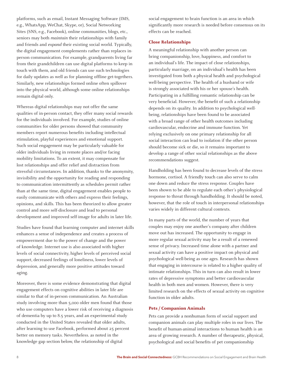platforms, such as email, Instant Messaging Software (IMS, e.g., WhatsApp, WeChat, Skype, or), Social Networking Sites (SNS, e.g., Facebook), online communities, blogs, etc., seniors may both *maintain* their relationships with family and friends and *expand* their existing social world. Typically, the digital engagement complements rather than replaces inperson communication. For example, grandparents living far from their grandchildren can use digital platforms to keep in touch with them, and old friends can use such technologies for daily updates as well as for planning offline get-togethers. Similarly, new relationships formed online often spillover into the physical world, although some online relationships remain digital only.

Whereas digital relationships may not offer the same qualities of in-person contact, they offer many social rewards for the individuals involved. For example, studies of online communities for older persons showed that community members report numerous benefits including intellectual stimulation, playful experiences and emotional support. Such social engagement may be particularly valuable for older individuals living in remote places and/or facing mobility limitations. To an extent, it may compensate for lost relationships and offer relief and distraction from stressful circumstances. In addition, thanks to the anonymity, invisibility and the opportunity for reading and responding to communication intermittently as schedules permit rather than at the same time, digital engagement enables people to easily communicate with others and express their feelings, opinions, and skills. This has been theorized to allow greater control and more self-disclosure and lead to personal development and improved self-image for adults in later life.

Studies have found that learning computer and internet skills enhances a sense of independence and creates a process of empowerment due to the power of change and the power of knowledge. Internet use is also associated with higher levels of social connectivity, higher levels of perceived social support, decreased feelings of loneliness, lower levels of depression, and generally more positive attitudes toward aging.

Moreover, there is some evidence demonstrating that digital engagement effects on cognitive abilities in later life are similar to that of in-person communication. An Australian study involving more than 5,000 older men found that those who use computers have a lower risk of receiving a diagnosis of dementia by up to 8.5 years, and an experimental study conducted in the United States revealed that older adults, after learning to use Facebook, performed about 25 percent better on memory tasks. Nevertheless. as noted in the knowledge gap section below, the relationship of digital

social engagement to brain function is an area in which significantly more research is needed before consensus on its effects can be reached.

### **Close Relationships**

A meaningful relationship with another person can bring companionship, love, happiness, and comfort to an individual's life. The impact of close relationships, particularly marriage, on an individual's health has been investigated from both a physical health and psychological well-being perspective. The health of a husband or wife is strongly associated with his or her spouse's health. Participating in a fulfilling romantic relationship can be very beneficial. However, the benefit of such a relationship depends on its quality. In addition to psychological wellbeing, relationships have been found to be associated with a broad range of other health outcomes including cardiovascular, endocrine and immune function. Yet relying exclusively on one primary relationship for all social interaction can lead to isolation if the other person should become sick or die, so it remains important to develop a range of other social relationships as the above recommendations suggest.

Handholding has been found to decrease levels of the stress hormone, cortisol. A friendly touch can also serve to calm one down and reduce the stress response. Couples have been shown to be able to regulate each other's physiological response to threat through handholding. It should be noted, however, that the role of touch in interpersonal relationships varies widely in different cultural contexts.

In many parts of the world, the number of years that couples may enjoy one another's company after children move out has increased. The opportunity to engage in more regular sexual activity may be a result of a renewed sense of privacy. Increased time alone with a partner and sexual activity can have a positive impact on physical and psychological well-being as one ages. Research has shown that engaging in intercourse is related to a higher quality of intimate relationships. This in turn can also result in lower rates of depressive symptoms and better cardiovascular health in both men and women. However, there is very limited research on the effects of sexual activity on cognitive function in older adults.

### **Pets / Companion Animals**

Pets can provide a nonhuman form of social support and companion animals can play multiple roles in our lives. The benefit of human-animal interactions to human health is an area of growing research. A number of therapeutic, physical, psychological and social benefits of pet companionship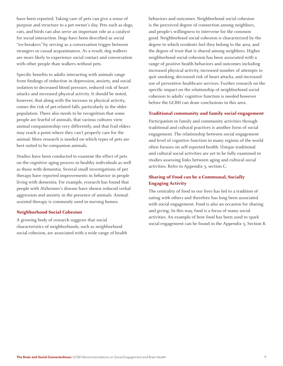have been reported. Taking care of pets can give a sense of purpose and structure to a pet owner's day. Pets such as dogs, cats, and birds can also serve an important role as a catalyst for social interaction. Dogs have been described as social "ice-breakers" by serving as a conversation trigger between strangers or casual acquaintances. As a result, dog walkers are more likely to experience social contact and conversation with other people than walkers without pets.

Specific benefits to adults interacting with animals range from findings of reduction in depression, anxiety, and social isolation to decreased blood pressure, reduced risk of heart attacks and increased physical activity. It should be noted, however, that along with the increase in physical activity, comes the risk of pet-related falls, particularly in the older population. There also needs to be recognition that some people are fearful of animals, that various cultures view animal companionship very differently, and that frail elders may reach a point where they can't properly care for the animal. More research is needed on which types of pets are best suited to be companion animals.

Studies have been conducted to examine the effect of pets on the cognitive aging process in healthy individuals as well as those with dementia. Several small investigations of pet therapy have reported improvements in behavior in people living with dementia. For example, research has found that people with Alzheimer's disease have shown reduced verbal aggression and anxiety in the presence of animals. Animalassisted therapy is commonly used in nursing homes.

#### **Neighborhood Social Cohesion**

A growing body of research suggests that social characteristics of neighborhoods, such as neighborhood social cohesion, are associated with a wide range of health behaviors and outcomes. Neighborhood social cohesion is the perceived degree of connection among neighbors, and people's willingness to intervene for the common good. Neighborhood social cohesion is characterized by the degree to which residents feel they belong to the area, and the degree of trust that is shared among neighbors. Higher neighborhood social cohesion has been associated with a range of positive health behaviors and outcomes including increased physical activity, increased number of attempts to quit smoking, decreased risk of heart attacks, and increased use of preventive healthcare services. Further research on the specific impact on the relationship of neighborhood social cohesion to adults' cognitive function is needed however before the GCBH can draw conclusions in this area.

### **Traditional community and family social engagement**

Participation in family and community activities through traditional and cultural practices is another form of social engagement. The relationship between social engagement and level of cognitive function in many regions of the world often focuses on self-reported health. Unique traditional and cultural social activities are yet to be fully examined in studies assessing links between aging and cultural social activities. Refer to Appendix 5, section C.

### **Sharing of Food can be a Communal, Socially Engaging Activity**

The centrality of food in our lives has led to a tradition of eating with others and therefore has long been associated with social engagement. Food is also an occasion for sharing and giving. In this way, food is a focus of many social activities. An example of how food has been used to spark social engagement can be found in the Appendix 5, Section B.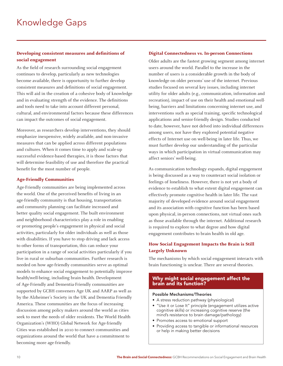### **Developing consistent measures and definitions of social engagement**

As the field of research surrounding social engagement continues to develop, particularly as new technologies become available, there is opportunity to further develop consistent measures and definitions of social engagement. This will aid in the creation of a cohesive body of knowledge and in evaluating strength of the evidence. The definitions and tools need to take into account different personal, cultural, and environmental factors because these differences can impact the outcomes of social engagement.

Moreover, as researchers develop interventions, they should emphasize inexpensive, widely available, and non-invasive measures that can be applied across different populations and cultures. When it comes time to apply and scale-up successful evidence-based therapies, it is those factors that will determine feasibility of use and therefore the practical benefit for the most number of people.

### **Age-Friendly Communities**

Age-Friendly communities are being implemented across the world. One of the perceived benefits of living in an age-friendly community is that housing, transportation and community planning can facilitate increased and better quality social engagement. The built environment and neighborhood characteristics play a role in enabling or promoting people's engagement in physical and social activities, particularly for older individuals as well as those with disabilities. If you have to stop driving and lack access to other forms of transportation, this can reduce your participation in a range of social activities particularly if you live in rural or suburban communities. Further research is needed on how age-friendly communities serve as optimal models to enhance social engagement to potentially improve health/well-being, including brain health. Development of Age-Friendly and Dementia-Friendly communities are supported by GCBH conveners Age UK and AARP as well as by the Alzheimer's Society in the UK and Dementia Friendly America. These communities are the focus of increasing discussion among policy makers around the world as cities seek to meet the needs of older residents. The World Health Organization's (WHO) Global Network for Age-friendly Cities was established in 2010 to connect communities and organizations around the world that have a commitment to becoming more age-friendly.

### **Digital Connectedness vs. In-person Connections**

Older adults are the fastest growing segment among internet users around the world. Parallel to the increase in the number of users is a considerable growth in the body of knowledge on older persons' use of the internet. Previous studies focused on several key issues, including internet utility for older adults (e.g., communication, information and recreation), impact of use on their health and emotional wellbeing, barriers and limitations concerning internet use, and interventions such as special training, specific technological applications and senior-friendly design. Studies conducted to date, however, have not delved into individual differences among users, nor have they explored potential negative effects of Internet use on well-being in later life. Thus, we must further develop our understanding of the particular ways in which participation in virtual communication may affect seniors' well-being.

As communication technology expands, digital engagement is being discussed as a way to counteract social isolation or feelings of loneliness. However, there is not yet a body of evidence to establish to what extent digital engagement can effectively promote cognitive health in later life. The vast majority of developed evidence around social engagement and its association with cognitive function has been based upon physical, in-person connections, not virtual ones such as those available through the internet. Additional research is required to explore to what degree and how digital engagement contributes to brain health in old age.

### **How Social Engagement Impacts the Brain is Still Largely Unknown**

The mechanisms by which social engagement interacts with brain functioning is unclear. There are several theories.

### Why might social engagement affect the brain and its function?

### Possible Mechanisms/Theories

- A stress reduction pathway (physiological)
- "Use it or Lose It" principle (engagement utilizes active cognitive skills) or increasing cognitive reserve (the mind's resistance to brain damage/pathology)
- Promotes access to emotional support
- Providing access to tangible or informational resources or help in making better decisions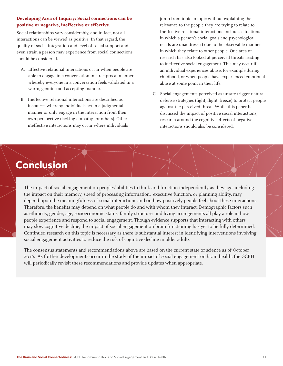### **Developing Area of Inquiry: Social connections can be positive or negative, ineffective or effective.**

Social relationships vary considerably, and in fact, not all interactions can be viewed as positive. In that regard, the quality of social integration and level of social support and even strain a person may experience from social connections should be considered.

- A. Effective relational interactions occur when people are able to engage in a conversation in a reciprocal manner whereby everyone in a conversation feels validated in a warm, genuine and accepting manner.
- B. Ineffective relational interactions are described as instances whereby individuals act in a judgmental manner or only engage in the interaction from their own perspective (lacking empathy for others). Other ineffective interactions may occur where individuals

jump from topic to topic without explaining the relevance to the people they are trying to relate to. Ineffective relational interactions includes situations in which a person's social goals and psychological needs are unaddressed due to the observable manner in which they relate to other people. One area of research has also looked at perceived threats leading to ineffective social engagement. This may occur if an individual experiences abuse, for example during childhood, or when people have experienced emotional abuse at some point in their life.

C. Social engagements perceived as unsafe trigger natural defense strategies (fight, flight, freeze) to protect people against the perceived threat. While this paper has discussed the impact of positive social interactions, research around the cognitive effects of negative interactions should also be considered.

## Conclusion

The impact of social engagement on peoples' abilities to think and function independently as they age, including the impact on their memory, speed of processing information, executive function, or planning ability, may depend upon the meaningfulness of social interactions and on how positively people feel about these interactions. Therefore, the benefits may depend on what people do and with whom they interact. Demographic factors such as ethnicity, gender, age, socioeconomic status, family structure, and living arrangements all play a role in how people experience and respond to social engagement. Though evidence supports that interacting with others may slow cognitive decline, the impact of social engagement on brain functioning has yet to be fully determined. Continued research on this topic is necessary as there is substantial interest in identifying interventions involving social engagement activities to reduce the risk of cognitive decline in older adults.

The consensus statements and recommendations above are based on the current state of science as of October 2016. As further developments occur in the study of the impact of social engagement on brain health, the GCBH will periodically revisit these recommendations and provide updates when appropriate.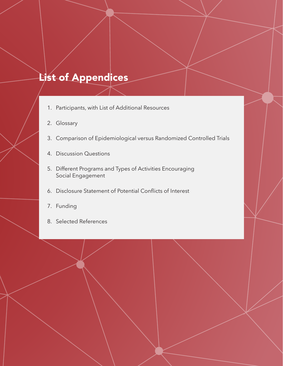## List of Appendices

- 1. Participants, with List of Additional Resources
- 2. Glossary
- 3. Comparison of Epidemiological versus Randomized Controlled Trials
- 4. Discussion Questions
- 5. Different Programs and Types of Activities Encouraging Social Engagement
- 6. Disclosure Statement of Potential Conflicts of Interest
- 7. Funding
- 8. Selected References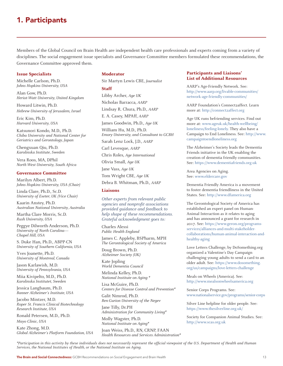### 1. Participants

Members of the Global Council on Brain Health are independent health care professionals and experts coming from a variety of disciplines. The social engagement issue specialists and Governance Committee members formulated these recommendations, the Governance Committee approved them.

### **Issue Specialists**

Michelle Carlson, Ph.D. *Johns Hopkins University, USA* 

Alan Gow, Ph.D. *Heriot-Watt University, United Kingdom*

Howard Litwin, Ph.D. *Hebrew University of Jerusalem, Israel*

Eric Kim, Ph.D. *Harvard University, USA*

Katsunori Kondo, M.D., Ph.D. *Chiba University and National Center for Geriatrics and Gerontology, Japan*

Chengxuan Qiu, Ph.D. *Karolinska Institute, Sweden*

Vera Roos, MA, DPhil *North West University, South Africa*

### **Governance Committee**

Marilyn Albert, Ph.D. *Johns Hopkins University, USA (Chair)*

Linda Clare, Ph.D., Sc.D. *University of Exeter, UK (Vice Chair)*

Kaarin Anstey, Ph.D. *Australian National University, Australia*

Martha Clare Morris, Sc.D. *Rush University, USA*

Peggye Dilworth-Anderson, Ph.D. *University of North Carolina— Chapel Hill, USA*

S. Duke Han, Ph.D., ABPP-CN *University of Southern California, USA*

Yves Joanette, Ph.D. *University of Montreal, Canada*

Jason Karlawish, M.D. *University of Pennsylvania, USA*

Miia Kivipelto, M.D., Ph.D. *Karolinska Institutet, Sweden*

Jessica Langbaum, Ph.D. *Banner Alzheimer's Institute, USA*

Jacobo Mintzer, M.D. *Roper St. Francis Clinical Biotechnology Research Institute, USA*

Ronald Petersen, M.D., Ph.D. *Mayo Clinic, USA*

Kate Zhong, M.D. *Global Alzheimer's Platform Foundation, USA*

#### **Moderator**

Sir Martyn Lewis CBE, *Journalist*

#### **Staff**

Libby Archer, *Age UK* Nicholas Barracca, *AARP*  Lindsay R. Chura, Ph.D., *AARP* E. A. Casey, MPAff, *AARP*

James Goodwin, Ph.D., *Age UK*

William Hu, M.D., Ph.D. *Emory University, and Consultant to GCBH*

Sarah Lenz Lock, J.D., *AARP*

Carl Levesque, *AARP*

Chris Roles, *Age International*

Olivia Small, *Age UK*

Jane Vass, *Age UK*

Tom Wright CBE, *Age UK*

Debra B. Whitman, Ph.D., *AARP*

### **Liaisons**

*Other experts from relevant public agencies and nonprofit associations provided guidance and feedback to help shape of these recommendations. Grateful acknowledgment goes to:*

Charles Alessi *Public Health England*

James C. Appleby, BSPharm, MPH *The Gerontological Society of America*

Doug Brown, Ph.D. *Alzheimer Society (UK)*

Kate Jopling *World Dementia Council*

Melinda Kelley, Ph.D. *National Institute on Aging \**

Lisa McGuire, Ph.D. *Centers for Disease Control and Prevention\**

Galit Nimrod, Ph.D. *Ben-Gurion University of the Negev*

Jane Tilly, Dr.PH *Administration for Community Living\**

Molly Wagster, Ph.D. *National Institute on Aging\**

Joan Weiss, Ph.D., RN, CRNP, FAAN *Health Resources and Services Administration\**

### **Participants and Liaisons' List of Additional Resources**

AARP's Age-Friendly Network. See: http://www.aarp.org/livable-communities/ network-age-friendly-communities/

AARP Foundation's Connect2affect. Learn more at: http://connect2affect.org

Age UK runs befriending services. Find out more at: www.ageuk.uk/health-wellbeing/ loneliness/feeling-lonely. They also have a Campaign to End Loneliness. See: http://www. campaigntoendloneliness.org

The Alzheimer's Society leads the Dementia Friends initiative in the UK enabling the creation of dementia friendly communities. See: https://www.dementiafriends.org.uk

Area Agencies on Aging. See: www.eldercare.gov

Dementia Friendly America is a movement to foster dementia friendliness in the United States. See: http://www.dfamerica.org

The Gerontological Society of America has established an expert panel on Human-Animal Interaction as it relates to aging and has announced a grant for research in 2017. See: https://www.geron.org/programsservices/alliances-and-multi-stakeholdercollaborations/human-animal-interaction-andhealthy-aging

Love Letters Challenge, by DoSomething.org organized a Valentine's Day Campaign challenging young adults to send a card to an older adult. See: https://www.dosomething. org/us/campaigns/love-letters-challenge

Meals on Wheels (America). See: http://www.mealsonwheelsamerica.org

Senior Corps Programs. See: www.nationalservice.gov/programs/senior-corps

Silver Line helpline for older people. See: https://www.thesilverline.org.uk/

Society for Companion Animal Studies. See: http://www.scas.org.uk

*\*Participation in this activity by these individuals does not necessarily represent the official viewpoint of the U.S. Department of Health and Human Services, the National Institutes of Health, or the National Institute on Aging.*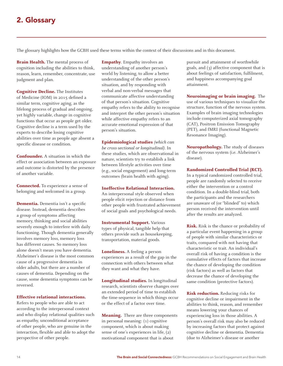The glossary highlights how the GCBH used these terms within the context of their discussions and in this document.

**Brain Health.** The mental process of cognition including the abilities to think, reason, learn, remember, concentrate, use judgment and plan.

**Cognitive Decline.** The Institutes of Medicine (IOM) in 2015 defined a similar term, cognitive aging, as the lifelong process of gradual and ongoing, yet highly variable, change in cognitive functions that occur as people get older. Cognitive decline is a term used by the experts to describe losing cognitive abilities over time as people age absent a specific disease or condition.

**Confounder.** A situation in which the effect or association between an exposure and outcome is distorted by the presence of another variable.

**Connected.** To experience a sense of belonging and welcomed in a group.

**Dementia.** Dementia isn't a specific disease. Instead, dementia describes a group of symptoms affecting memory, thinking and social abilities severely enough to interfere with daily functioning. Though dementia generally involves memory loss, memory loss has different causes. So memory loss alone doesn't mean you have dementia. Alzheimer's disease is the most common cause of a progressive dementia in older adults, but there are a number of causes of dementia. Depending on the cause, some dementia symptoms can be reversed.

### **Effective relational interactions.**

Refers to people who are able to act according to the interpersonal context and who display relational qualities such as empathy, unconditional acceptance of other people, who are genuine in the interaction, flexible and able to adopt the perspective of other people.

**Empathy**. Empathy involves an understanding of another person's world by listening, to allow a better understanding of the other person's situation, and by responding with verbal and non-verbal messages that communicate affective understanding of that person's situation. Cognitive empathy refers to the ability to recognise and interpret the other person's situation while affective empathy refers to an accurate emotional expression of that person's situation.

**Epidemiological studies** *(which can be cross-sectional or longitudinal)*. In these studies, which are observational in nature, scientists try to establish a link between lifestyle activities over time (e.g., social engagement) and long-term outcomes (brain health with aging).

### **Ineffective Relational Interaction.**

An interpersonal style observed when people elicit rejection or distance from other people with frustrated achievement of social goals and psychological needs.

**Instrumental Support.** Various types of physical, tangible help that others provide such as housekeeping, transportation, material goods.

**Loneliness.** A feeling a person experiences as a result of the gap in the connection with others between what they want and what they have.

**Longitudinal studies.** In longitudinal research, scientists observe changes over an extended period of time to establish the time-sequence in which things occur or the effect of a factor over time.

**Meaning.** There are three components in personal meaning: (1) cognitive component, which is about making sense of one's experiences in life, (2) motivational component that is about

pursuit and attainment of worthwhile goals, and (3) affective component that is about feelings of satisfaction, fulfilment, and happiness accompanying goal attainment.

**Neuroimaging or brain imaging.** The use of various techniques to visualize the structure, function of the nervous system. Examples of brain imaging technologies include computerized axial tomography (CAT), Positron Emission Tomography (PET), and fMRI (functional Magnetic Resonance Imaging).

**Neuropathology.** The study of diseases of the nervous system (i.e. Alzheimer's disease).

**Randomized Controlled Trial (RCT).**

In a typical randomized controlled trial, people are randomly selected to receive either the intervention or a control condition. In a double-blind trial, both the participants and the researchers are unaware of (or "blinded" to) which person received the intervention until after the results are analyzed.

**Risk.** Risk is the chance or probability of a particular event happening in a group of people with similar characteristics or traits, compared with not having that characteristic or trait. An individual's overall risk of having a condition is the cumulative effects of factors that increase the chance of developing the condition (risk factors) as well as factors that decrease the chance of developing the same condition (protective factors).

**Risk reduction.** Reducing risks for cognitive decline or impairment in the abilities to think, reason, and remember means lowering your chances of experiencing loss in those abilities. A person's overall risk may also be reduced by increasing factors that protect against cognitive decline or dementia. Dementia (due to Alzheimer's disease or another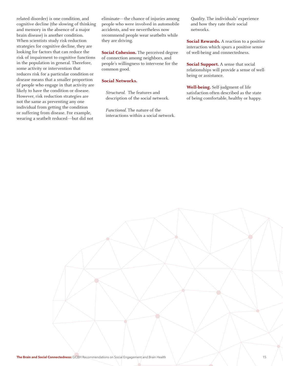related disorder) is one condition, and cognitive decline (the slowing of thinking and memory in the absence of a major brain disease) is another condition. When scientists study risk-reduction strategies for cognitive decline, they are looking for factors that can reduce the risk of impairment to cognitive functions in the population in general. Therefore, some activity or intervention that reduces risk for a particular condition or disease means that a smaller proportion of people who engage in that activity are likely to have the condition or disease. However, risk reduction strategies are not the same as preventing any one individual from getting the condition or suffering from disease. For example, wearing a seatbelt reduced—but did not

eliminate—the chance of injuries among people who were involved in automobile accidents, and we nevertheless now recommend people wear seatbelts while they are driving.

**Social Cohesion.** The perceived degree of connection among neighbors, and people's willingness to intervene for the common good.

### **Social Networks.**

*Structural.* The features and description of the social network.

*Functional.* The nature of the interactions within a social network.

*Quality.* The individuals' experience and how they rate their social networks.

**Social Rewards.** A reaction to a positive interaction which spurs a positive sense of well-being and connectedness.

**Social Support.** A sense that social relationships will provide a sense of wellbeing or assistance.

**Well-being.** Self-judgment of life satisfaction often described as the state of being comfortable, healthy or happy.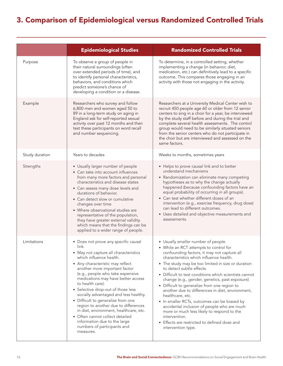## 3. Comparison of Epidemiological versus Randomized Controlled Trials

|                | <b>Epidemiological Studies</b>                                                                                                                                                                                                                                                                                                                                                                                                                                                                                                                                                                             | <b>Randomized Controlled Trials</b>                                                                                                                                                                                                                                                                                                                                                                                                                                                                                                                                                                                                                                                                                               |
|----------------|------------------------------------------------------------------------------------------------------------------------------------------------------------------------------------------------------------------------------------------------------------------------------------------------------------------------------------------------------------------------------------------------------------------------------------------------------------------------------------------------------------------------------------------------------------------------------------------------------------|-----------------------------------------------------------------------------------------------------------------------------------------------------------------------------------------------------------------------------------------------------------------------------------------------------------------------------------------------------------------------------------------------------------------------------------------------------------------------------------------------------------------------------------------------------------------------------------------------------------------------------------------------------------------------------------------------------------------------------------|
| Purpose        | To observe a group of people in<br>their natural surroundings (often<br>over extended periods of time), and<br>to identify personal characteristics,<br>behaviors, and conditions which<br>predict someone's chance of<br>developing a condition or a disease.                                                                                                                                                                                                                                                                                                                                             | To determine, in a controlled setting, whether<br>implementing a change (in behavior, diet,<br>medication, etc.) can definitively lead to a specific<br>outcome. This compares those engaging in an<br>activity with those not engaging in the activity.                                                                                                                                                                                                                                                                                                                                                                                                                                                                          |
| Example        | Researchers who survey and follow<br>6,800 men and women aged 50 to<br>89 in a long-term study on aging in<br>England ask for self-reported sexual<br>activity over past 12 months and then<br>test these participants on word recall<br>and number sequencing.                                                                                                                                                                                                                                                                                                                                            | Researchers at a University Medical Center wish to<br>recruit 450 people age 60 or older from 12 senior<br>centers to sing in a choir for a year, be interviewed<br>by the study staff before and during the trial and<br>complete several health assessments. The control<br>group would need to be similarly situated seniors<br>from the senior centers who do not participate in<br>the choir but are interviewed and assessed on the<br>same factors.                                                                                                                                                                                                                                                                        |
| Study duration | Years to decades                                                                                                                                                                                                                                                                                                                                                                                                                                                                                                                                                                                           | Weeks to months, sometimes years                                                                                                                                                                                                                                                                                                                                                                                                                                                                                                                                                                                                                                                                                                  |
| Strengths      | • Usually larger number of people<br>• Can take into account influences<br>from many more factors and personal<br>characteristics and disease states<br>• Can assess many dose levels and<br>durations of behavior.<br>• Can detect slow or cumulative<br>changes over time<br>• Where observational studies are<br>representative of the population,<br>they have greater external validity<br>which means that the findings can be<br>applied to a wider range of people.                                                                                                                                | • Helps to prove causal link and to better<br>understand mechanisms<br>• Randomization can eliminate many competing<br>hypotheses as to why the change actually<br>happened (because confounding factors have an<br>equal probability of occurring in all groups).<br>• Can test whether different doses of an<br>intervention (e.g., exercise frequency, drug dose)<br>can lead to different outcomes.<br>• Uses detailed and objective measurements and<br>assessments.                                                                                                                                                                                                                                                         |
| Limitations    | • Does not prove any specific causal<br>link.<br>• May not capture all characteristics<br>which influence health.<br>• Any characteristic may reflect<br>another more important factor<br>(e.g., people who take expensive<br>medications may have better access<br>to health care).<br>• Selective drop-out of those less<br>socially advantaged and less healthy.<br>• Difficult to generalize from one<br>region to another due to differences<br>in diet, environment, healthcare, etc.<br>• Often cannot collect detailed<br>information due to the large<br>numbers of participants and<br>measures. | • Usually smaller number of people<br>• While an RCT attempts to control for<br>confounding factors, it may not capture all<br>characteristics which influence health.<br>• The study may be too limited in size or duration<br>to detect subtle effects.<br>• Difficult to test conditions which scientists cannot<br>change (e.g., gender, genetics, past exposure)<br>• Difficult to generalize from one region to<br>another due to differences in diet, environment,<br>healthcare, etc.<br>• In smaller RCTs, outcomes can be biased by<br>accidental inclusion of people who are much<br>more or much less likely to respond to the<br>intervention.<br>• Effects are restricted to defined dose and<br>intervention type. |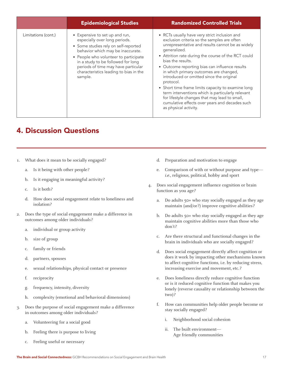|                     | <b>Epidemiological Studies</b>                                                                                                                                                                                                                                                                                          | <b>Randomized Controlled Trials</b>                                                                                                                                                                                                                                                                                                                                                                                                                                                                                                                                                                                                      |
|---------------------|-------------------------------------------------------------------------------------------------------------------------------------------------------------------------------------------------------------------------------------------------------------------------------------------------------------------------|------------------------------------------------------------------------------------------------------------------------------------------------------------------------------------------------------------------------------------------------------------------------------------------------------------------------------------------------------------------------------------------------------------------------------------------------------------------------------------------------------------------------------------------------------------------------------------------------------------------------------------------|
| Limitations (cont.) | • Expensive to set up and run,<br>especially over long periods.<br>• Some studies rely on self-reported<br>behavior which may be inaccurate.<br>• People who volunteer to participate<br>in a study to be followed for long<br>periods of time may have particular<br>characteristics leading to bias in the<br>sample. | • RCTs usually have very strict inclusion and<br>exclusion criteria so the samples are often<br>unrepresentative and results cannot be as widely<br>generalized.<br>• Attrition rate during the course of the RCT could<br>bias the results.<br>• Outcome reporting bias can influence results<br>in which primary outcomes are changed,<br>introduced or omitted since the original<br>protocol.<br>• Short time frame limits capacity to examine long<br>term interventions which is particularly relevant<br>for lifestyle changes that may lead to small,<br>cumulative effects over years and decades such<br>as physical activity. |

### 4. Discussion Questions

- 1. What does it mean to be socially engaged?
	- a. Is it being with other people?
	- b. Is it engaging in meaningful activity?
	- c. Is it both?
	- d. How does social engagement relate to loneliness and isolation?
- 2. Does the type of social engagement make a difference in outcomes among older individuals?
	- a. individual or group activity
	- b. size of group
	- c. family or friends
	- d. partners, spouses
	- e. sexual relationships, physical contact or presence
	- f. reciprocity
	- g. frequency, intensity, diversity
	- h. complexity (emotional and behavioral dimensions)
- 3. Does the purpose of social engagement make a difference in outcomes among older individuals?
	- a. Volunteering for a social good
	- b. Feeling there is purpose to living
	- c. Feeling useful or necessary
- d. Preparation and motivation to engage
- e. Comparison of with or without purpose and type *i.e.*, religious, political, hobby and sport
- 4. Does social engagement influence cognition or brain function as you age?
	- a. Do adults 50+ who stay socially engaged as they age maintain (and/or?) improve cognitive abilities?
	- b. Do adults 50+ who stay socially engaged as they age maintain cognitive abilities more than those who don't?
	- c. Are there structural and functional changes in the brain in individuals who are socially engaged?
	- d. Does social engagement directly affect cognition or does it work by impacting other mechanisms known to affect cognitive functions, i.e. by reducing stress, increasing exercise and movement, etc.?
	- e. Does loneliness directly reduce cognitive function or is it reduced cognitive function that makes you lonely (reverse causality or relationship between the two)?
	- f. How can communities help older people become or stay socially engaged?
		- i. Neighborhood social cohesion
		- ii. The built environment— Age friendly communities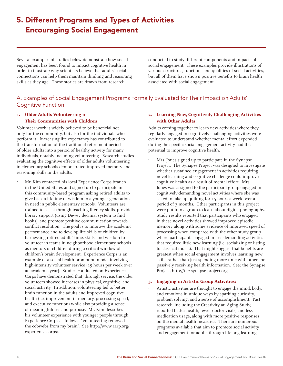## 5. Different Programs and Types of Activities Encouraging Social Engagement

Several examples of studies below demonstrate how social engagement has been found to impact cognitive health in order to illustrate why scientists believe that adults' social connections can help them maintain thinking and reasoning skills as they age. These stories are drawn from research

conducted to study different components and impacts of social engagement. These examples provide illustrations of various structures, functions and qualities of social activities, but all of them have shown positive benefits to brain health associated with social engagement.

### A. Examples of Social Engagement Programs Formally Evaluated for Their Impact on Adults' Cognitive Function.

### **1. Older Adults Volunteering in Their Communities with Children:**

Volunteer work is widely believed to be beneficial not only for the community, but also for the individuals who perform it. Increasing life expectancy has contributed to the transformation of the traditional retirement period of older adults into a period of healthy activity for many individuals, notably including volunteering. Research studies evaluating the cognitive effects of older adults volunteering in elementary schools demonstrated improved memory and reasoning skills in the adults.

• Mr. Kim contacted his local Experience Corps branch in the United States and signed up to participate in this community-based program asking retired adults to give back a lifetime of wisdom to a younger generation in need in public elementary schools. Volunteers are trained to assist through teaching literacy skills, provide library support (using Dewey decimal system to find books), and promote positive communication towards conflict resolution. The goal is to improve the academic performance and to develop life skills of children by harnessing retired adults' time, skills, and wisdom to volunteer in teams in neighborhood elementary schools as mentors of children during a critical window of children's brain development. Experience Corps is an example of a social health promotion model involving high-intensity volunteer service (15 hours per week over an academic year). Studies conducted on Experience Corps have demonstrated that, through service, the older volunteers showed increases in physical, cognitive, and social activity. In addition, volunteering led to better brain function in the adults and improved cognitive health (i.e. improvement in memory, processing speed, and executive function) while also providing a sense of meaningfulness and purpose. Mr. Kim describes his volunteer experience with younger people through Experience Corps as follows: "Volunteering removed the cobwebs from my brain". See http://www.aarp.org/ experience-corps/.

### **2. Learning New, Cognitively Challenging Activities with Other Adults:**

Adults coming together to learn new activities where they regularly engaged in cognitively challenging activities were evaluated to understand whether mental effort expended during the specific social engagement activity had the potential to improve cognitive health.

Mrs. Jones signed up to participate in the Synapse Project. The Synapse Project was designed to investigate whether sustained engagement in activities requiring novel learning and cognitive challenge could improve cognitive health as a result of mental effort. Mrs. Jones was assigned to the participant group engaged in cognitively-demanding novel activities where she was asked to take up quilting for 15 hours a week over a period of 3 months. Other participants in this project were put into a group to learn about digital photography. Study results reported that participants who engaged in these novel activities showed improved episodic memory along with some evidence of improved speed of processing when compared with the other study group where participants engaged in less demanding activities that required little new learning (i.e. socializing or listing to classical music). That might suggest that benefits are greatest when social engagement involves learning new skills rather than just spending more time with others or passively receiving health information. See: the Synapse Project, http://the-synapse-project.org.

### **3. Engaging in Artistic Group Activities:**

• Artistic activities are thought to engage the mind, body, and emotions in unique ways by sparking curiosity, problem solving, and a sense of accomplishment. Past research, including the Creativity an Aging Study, reported better health, fewer doctor visits, and less medication usage, along with more positive responses on the mental health measures. There are numerous programs available that aim to promote social activity and engagement for adults through lifelong learning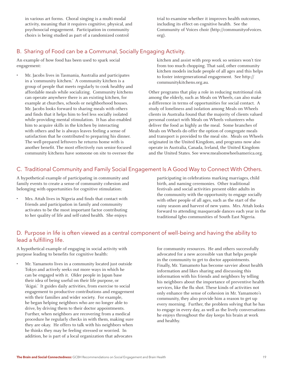in various art forms. Choral singing is a multi-modal activity, meaning that it requires cognitive, physical, and psychosocial engagement. Participation in community choirs is being studied as part of a randomized control

trial to examine whether it improves health outcomes, including its effect on cognitive health. See the Community of Voices choir (http://communityofvoices. org).

### B. Sharing of Food can be a Communal, Socially Engaging Activity.

An example of how food has been used to spark social engagement:

• Mr. Jacobs lives in Tasmania, Australia and participates in a 'community kitchen.' A community kitchen is a group of people that meets regularly to cook healthy and affordable meals while socializing. Community kitchens can operate anywhere there is an existing kitchen, for example at churches, schools or neighborhood houses. Mr. Jacobs looks forward to sharing meals with others and finds that it helps him to feel less socially isolated while providing mental stimulation. It has also enabled him to acquire skills in the kitchen by interacting with others and he is always leaves feeling a sense of satisfaction that he contributed to preparing his dinner. The well-prepared leftovers he returns home with is another benefit. The most effectively run senior-focused community kitchens have someone on site to oversee the

kitchen and assist with prep work so seniors won't tire from too much chopping. That said, other community kitchen models include people of all ages and this helps to foster intergenerational engagement. See http:// communitykitchens.org.au.

Other programs that play a role in reducing nutritional risk among the elderly, such as Meals on Wheels, can also make a difference in terms of opportunities for social contact. A study of loneliness and isolation among Meals on Wheels clients in Australia found that the majority of clients valued personal contact with Meals on Wheels volunteers who deliver the food as highly as the meal. Some branches of Meals on Wheels do offer the option of congregate meals and transport is provided to the meal site. Meals on Wheels originated in the United Kingdom, and programs now also operate in Australia, Canada, Ireland, the United Kingdom and the United States. See www.mealsonwheelsamerica.org.

### C. Traditional Community and Family Social Engagement Is A Good Way to Connect With Others.

A hypothetical example of participating in community and family events to create a sense of community cohesion and belonging with opportunities for cognitive stimulation:

• Mrs. Attah lives in Nigeria and finds that contact with friends and participation in family and community activates to be the most important factor contributing to her quality of life and self-rated health. She enjoys

participating in celebrations marking marriages, child birth, and naming ceremonies. Other traditional festivals and social activities present older adults in the community with the opportunity to engage socially with other people of all ages, such as the start of the rainy season and harvest of new yams. Mrs. Attah looks forward to attending masquerade dances each year in the traditional Igbo communities of South East Nigeria.

### D. Purpose in life is often viewed as a central component of well-being and having the ability to lead a fulfilling life.

A hypothetical example of engaging in social activity with purpose leading to benefits for cognitive health:

• Mr. Yamamoto lives in a community located just outside Tokyo and actively seeks out more ways in which he can be engaged with it. Older people in Japan base their idea of being useful on their life purpose, or 'ikigai.' It guides daily activities, from exercise to social engagement to productive contributions and engagement with their families and wider society. For example, he began helping neighbors who are no longer able to drive, by driving them to their doctor appointments. Further, when neighbors are recovering from a medical procedure he regularly checks in with them, making sure they are okay. He offers to talk with his neighbors when he thinks they may be feeling stressed or worried. In addition, he is part of a local organization that advocates

for community resources. He and others successfully advocated for a new accessible van that helps people in the community to get to doctor appointments. Finally, Mr. Yamamoto has become savvier about health information and likes sharing and discussing this information with his friends and neighbors by telling his neighbors about the importance of preventive health services, like the flu shot. These kinds of activities not only enhance the sense of cohesion in Mr. Yamamoto's community, they also provide him a reason to get up every morning. Further, the problem solving that he has to engage in every day, as well as the lively conversations he enjoys throughout the day keeps his brain at work and healthy.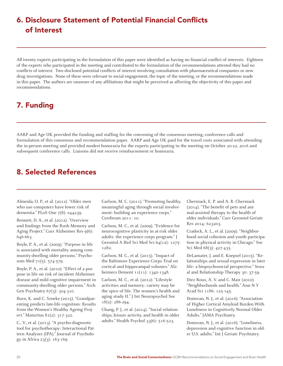## 6. Disclosure Statement of Potential Financial Conflicts of Interest

All twenty experts participating in the formulation of this paper were identified as having no financial conflict of interests. Eighteen of the experts who participated in the meeting and contributed to the formulation of the recommendations attested they had no conflicts of interest. Two disclosed potential conflicts of interest involving consultation with pharmaceutical companies or new drug investigations. None of these were relevant to social engagement, the topic of the meeting, or the recommendations made in this paper. The authors are unaware of any affiliations that might be perceived as affecting the objectivity of this paper and recommendations.

## 7. Funding

AARP and Age UK provided the funding and staffing for the convening of the consensus meeting, conference calls and formulation of this consensus and recommendation paper. AARP and Age UK paid for the travel costs associated with attending the in-person meeting and provided modest honoraria for the experts participating in the meeting on October 20-22, 2016 and subsequent conference calls. Liaisons did not receive reimbursement or honoraria.

### 8. Selected References

Almeida, O. P., et al. (2012). "Older men who use computers have lower risk of dementia." PLoS One 7(8): e44239.

Bennett, D. A., et al. (2012). "Overview and findings from the Rush Memory and Aging Project." Curr Alzheimer Res 9(6): 646-663.

Boyle, P. A., et al. (2009). "Purpose in life is associated with mortality among community-dwelling older persons." Psychosom Med 71(5): 574-579.

Boyle, P. A., et al. (2010). "Effect of a purpose in life on risk of incident Alzheimer disease and mild cognitive impairment in community-dwelling older persons." Arch Gen Psychiatry 67(3): 304-310.

Burn, K. and C. Szoeke (2015). "Grandparenting predicts late-life cognition: Results from the Women's Healthy Ageing Project." Maturitas 81(2): 317-322.

C., V., et al. (2013). "A psycho-diagnostic tool for psychotherapy: Interactional Pattern Analyses (IPA)." Journal of Psychology in Africa 23(3): 163-169.

Carlson, M. C. (2011). "Promoting healthy, meaningful aging through social involvement: building an experience corps." Cerebrum 2011: 10.

Carlson, M. C., et al. (2009). "Evidence for neurocognitive plasticity in at-risk older adults: the experience corps program." J Gerontol A Biol Sci Med Sci 64(12): 1275- 1282.

Carlson, M. C., et al. (2015). "Impact of the Baltimore Experience Corps Trial on cortical and hippocampal volumes." Alzheimers Dement 11(11): 1340-1348.

Carlson, M. C., et al. (2012). "Lifestyle activities and memory: variety may be the spice of life. The women's health and aging study II." J Int Neuropsychol Soc 18(2): 286-294.

Chang, P. J., et al. (2014). "Social relationships, leisure activity, and health in older adults." Health Psychol 33(6): 516-523.

Cherniack, E. P. and A. R. Cherniack (2014). "The benefit of pets and animal-assisted therapy to the health of older individuals." Curr Gerontol Geriatr Res 2014: 623203.

Cradock, A. L., et al. (2009). "Neighborhood social cohesion and youth participation in physical activity in Chicago." Soc Sci Med 68(3): 427-435.

DeLamater, J. and E. Koepsel (2015). "Relationships and sexual expression in later life: a biopsychosocial perspective." Sexual and Relationship Therapy 30: 37-59.

Diez Roux, A. V. and C. Mair (2010). "Neighborhoods and health." Ann N Y Acad Sci 1186: 125-145.

Donovan, N. J., et al. (2016). "Association of Higher Cortical Amyloid Burden With Loneliness in Cognitively Normal Older Adults." JAMA Psychiatry.

Donovan, N. J., et al. (2016). "Loneliness, depression and cognitive function in older U.S. adults." Int J Geriatr Psychiatry.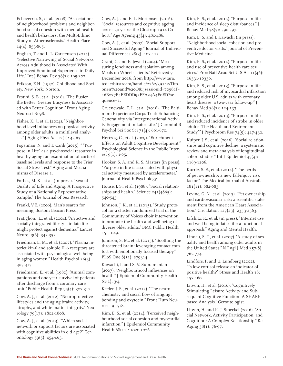Echeverria, S., et al. (2008). "Associations of neighborhood problems and neighborhood social cohesion with mental health and health behaviors: the Multi-Ethnic Study of Atherosclerosis." Health Place  $14(4): 853-865.$ 

English, T. and L. L. Carstensen (2014). "Selective Narrowing of Social Networks Across Adulthood is Associated With Improved Emotional Experience in Daily Life." Int J Behav Dev 38(2): 195-202.

Erikson, E.H. (1950). Childhood and Society. New York: Norton.

Festini, S. B., et al. (2016). "The Busier the Better: Greater Busyness Is Associated with Better Cognition." Front Aging Neurosci 8: 98.

Fisher, K. J., et al. (2004). "Neighborhood-level influences on physical activity among older adults: a multilevel analysis." J Aging Phys Act 12(1): 45-63.

Fogelman, N. and T. Canli (2015). " "Purpose in Life" as a psychosocial resource in healthy aging: an examination of cortisol baseline levels and response to the Trier Social Stress Test." Aging and Mechanisms of Disease 1.

Forbes, M. K., et al. (In press). "Sexual Quality of Life and Aging: A Prospective Study of a Nationally Representative Sample." The Journal of Sex Research.

Frankl, V.E. (2006). Man's search for meaning, Boston: Beacon Press.

Fratiglioni, L., et al. (2004). "An active and socially integrated lifestyle in late life might protect against dementia." Lancet Neurol 3(6): 343-353.

Friedman, E. M., et al. (2007). "Plasma interleukin-6 and soluble IL-6 receptors are associated with psychological well-being in aging women." Health Psychol 26(3): 305-313.

Friedmann, E., et al. (1980). "Animal companions and one-year survival of patients after discharge from a coronary care unit." Public Health Rep 95(4): 307-312.

Gow, A. J., et al. (2012). "Neuroprotective lifestyles and the aging brain: activity, atrophy, and white matter integrity." Neurology 79(17): 1802-1808.

Gow, A. J., et al. (2013). "Which social network or support factors are associated with cognitive abilities in old age?" Gerontology 59(5): 454-463.

Gow, A. J. and E. L. Mortensen (2016). "Social resources and cognitive ageing across 30 years: the Glostrup 1914 Cohort." Age Ageing 45(4): 480-486.

Gow, A. J., et al. (2007). "Social Support and Successful Aging." Journal of Individual Differences 28(3): 103-115.

Grant, G. and E. Jewell (2004). "Measuring loneliness and isolation among Meals on Wheels clients." Retrieved 7 December 2016, from http://www.tara. tcd.ie/bitstream/handle/2262/39142/Timonen%20and%20O&;jsessionid=70981F-16B077E4EEDDD95FFA24A4E0ED?sequence=1.

Gruenewald, T. L., et al. (2016). "The Baltimore Experience Corps Trial: Enhancing Generativity via Intergenerational Activity Engagement in Later Life." J Gerontol B Psychol Sci Soc Sci 71(4): 661-670.

Hertzog, C., et al. (2009). "Enrichment Effects on Adult Cognitive Development." Psychological Science in the Public Interest  $9(1)$ : 1-65.

Hooker, S. A. and K. S. Masters (in press). "Purpose in life is associated with physical activity measured by accelerometer." Journal of Health Psychology.

House, J. S., et al. (1988). "Social relationships and health." Science 241(4865): 540-545.

Johnson, J. K., et al. (2015). "Study protocol for a cluster randomized trial of the Community of Voices choir intervention to promote the health and well-being of diverse older adults." BMC Public Health 15: 1049.

Johnson, S. M., et al. (2013). "Soothing the threatened brain: leveraging contact comfort with emotionally focused therapy." PLoS One 8(11): e79314.

Kawachi, I. and S. V. Subramanian (2007). "Neighbourhood influences on health." J Epidemiol Community Health  $61(1): 3-4.$ 

Keeler, J. R., et al. (2015). "The neurochemistry and social flow of singing: bonding and oxytocin." Front Hum Neurosci 9: 518.

Kim, E. S., et al. (2014). "Perceived neighbourhood social cohesion and myocardial infarction." J Epidemiol Community Health 68(11): 1020-1026.

Kim, E. S., et al. (2015). "Purpose in life and incidence of sleep disturbances." J Behav Med 38(3): 590-597.

Kim, E. S. and I. Kawachi (in press). "Neighborhood social cohesion and preventive doctor visits." Journal of Preventive Medicine.

Kim, E. S., et al. (2014). "Purpose in life and use of preventive health care services." Proc Natl Acad Sci U S A 111(46): 16331-16336.

Kim, E. S., et al. (2013). "Purpose in life and reduced risk of myocardial infarction among older U.S. adults with coronary heart disease: a two-year follow-up." J Behav Med 36(2): 124-133.

Kim, E. S., et al. (2013). "Purpose in life and reduced incidence of stroke in older adults: 'The Health and Retirement Study'." J Psychosom Res 74(5): 427-432.

Kuiper, J. S., et al. (2016). "Social relationships and cognitive decline: a systematic review and meta-analysis of longitudinal cohort studies." Int J Epidemiol 45(4): 1169-1206.

Kurrle, S. E., et al. (2014). "The perils of pet ownershp: a new fall-injury risk factor." The Medical Journal of Australia 181(11): 682-683.

Levine, G. N., et al. (2013). "Pet ownership and cardiovascular risk: a scientific statement from the American Heart Association." Circulation 127(23): 2353-2363.

Lifshitz, R., et al. (in press). "Internet use and well-being in later life: a functional approach." Aging and Mental Health.

Lindau, S. T., et al. (2007). "A study of sexuality and health among older adults in the United States." N Engl J Med 357(8): 762-774.

Lindfors, P. and U. Lundberg (2002). "Is low cortisol release an indicator of positive health?" Stress and Health 18: 153-160.

Litwin, H., et al. (2016). "Cognitively Stimulating Leisure Activity and Subsequent Cognitive Function: A SHAREbased Analysis." Gerontologist.

Litwin, H. and K. J. Stoeckel (2016). "Social Network, Activity Participation, and Cognition: A Complex Relationship." Res Aging 38(1): 76-97.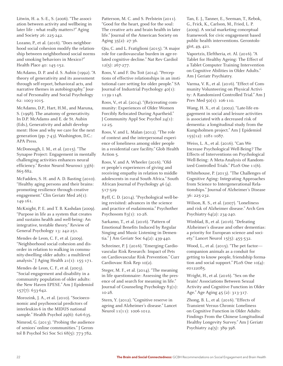Litwin, H. a. S.-E., S. (2006). "The association between activity and wellbeing in later life : what really matters?" Aging and Society 26: 225-242.

Lozano, P., et al. (2016). "Does neighborhood social cohesion modify the relationship between neighborhood social norms and smoking behaviors in Mexico?" Health Place 40: 145-152.

McAdams, D. P. and d. S. Aubin (1992). "A theory of generativity and its assessment through self-report, behavioral acts, and narrative themes in autobiography." Journal of Personality and Social Psychology 62: 1003-1015.

McAdams, D.P., Hart, H.M., and Maruna, S. (1998). The anatomy of generativity. In D.P. McAdams and E. de St. Aubin (Eds.), Generativity and adult development: How and why we care for the next generation (pp. 7-43). Washington, D.C.: APA Press.

McDonough, I. M., et al. (2015). "The Synapse Project: Engagement in mentally challenging activities enhances neural efficiency." Restor Neurol Neurosci 33(6): 865-882.

McFadden, S. H. and A. D. Basting (2010). "Healthy aging persons and their brains: promoting resilience through creative engagement." Clin Geriatr Med 26(1): 149-161.

McKnight, P. E. and T. B. Kashdan (2009). "Purpose in life as a system that creates and sustains health and well-being: An integrative, testable theory." Review of General Psychology 13: 242-251.

Mendes de Leon, C. F., et al. (2009). "Neighborhood social cohesion and disorder in relation to walking in community-dwelling older adults: a multilevel analysis." J Aging Health 21(1): 155-171.

Mendes de Leon, C. F., et al. (2003). "Social engagement and disability in a community population of older adults: the New Haven EPESE." Am J Epidemiol 157(7): 633-642.

Morozink, J. A., et al. (2010). "Socioeconomic and psychosocial predictors of interleukin-6 in the MIDUS national sample." Health Psychol 29(6): 626-635.

Nimrod, G. (2013). "Probing the audience of seniors' online communities." J Gerontol B Psychol Sci Soc Sci 68(5): 773-782.

Patterson, M. C. and S. Perlstein (2011). "Good for the heart, good for the soul: The creative arts and brain health in later life." Journal of the American Society on Aging 35(2): 27-36.

Qiu, C. and L. Fratiglioni (2015). "A major role for cardiovascular burden in age-related cognitive decline." Nat Rev Cardiol  $12(5): 267-277.$ 

Roos, V. and F. Du Toit (2014). "Perceptions of effective relationships in an institutional care setting for older people." SA Journal of Industrial Psychology 40(1): 1139-1148.

Roos, V., et al. (2014). "(Re)creating community: Experiences of Older Women Forcibly Relocated During Apartheid." J Community Appl Soc Psychol 24(1): 12-25.

Roos, V. and L. Malan (2012). "The role of context and the interpersonal experience of loneliness among older people in a residential care facility." Glob Health Action 5.

Roos, V. and A. Wheeler (2016). "Older people's experiences of giving and receiving empathy in relation to middle adolescents in rural South Africa." South African Journal of Psychology 46 (4). 517-529

Ryff, C. D. (2014). "Psychological well-being revisited: advances in the science and practice of eudaimonia." Psychother Psychosom 83(1): 10-28.

Sarkamo, T., et al. (2016). "Pattern of Emotional Benefits Induced by Regular Singing and Music Listening in Dementia." J Am Geriatr Soc 64(2): 439-440.

Schreiner, P. J. (2016). "Emerging Cardiovascular Risk Research: Impact of Pets on Cardiovascular Risk Prevention." Curr Cardiovasc Risk Rep 10(2).

Steger, M. F., et al. (2014). "The meaning in life questionnaire: Assessing the presence of and search for meaning in life." Journal of Counseling Psychology 83(1): 10-28.

Stern, Y. (2012). "Cognitive reserve in ageing and Alzheimer's disease." Lancet Neurol 11(11): 1006-1012.

Tan, E. J., Tanner, E., Seeman, T., Rebok, G., Frick, K., Carlson, M., Fried, L. P. (2009). A social marketing conceptual framework for civic engagement based public health interventions. Gerontologist, 49, 421.

Vaportzis, Eleftheria, et. Al. (2016). "A Tablet for Healthy Ageing: The Effect of a Tablet Computer Training Intervention on Cognitive Abilities in Older Adults." Am J Geriatr Psychiatry.

Varma, V. R., et al. (2016). "Effect of Community Volunteering on Physical Activity: A Randomized Controlled Trial." Am J Prev Med 50(1): 106-110.

Wang, H. X., et al. (2002). "Late-life engagement in social and leisure activities is associated with a decreased risk of dementia: a longitudinal study from the Kungsholmen project." Am J Epidemiol 155(12): 1081-1087.

Weiss, L. A., et al. (2016). "Can We Increase Psychological Well-Being? The Effects of Interventions on Psychological Well-Being: A Meta-Analysis of Randomized Controlled Trials." PLoS One 11(6).

Whitehouse, P. (2013). "The Challenges of Cognitive Aging: Integrating Approaches from Science to Intergenerational Relationships." Journal of Alzheimer's Disease 36: 225-232.

Wilson, R. S., et al. (2007). "Loneliness and risk of Alzheimer disease." Arch Gen Psychiatry 64(2): 234-240.

Winblad, B., et al. (2016). "Defeating Alzheimer's disease and other dementias: a priority for European science and society." Lancet Neurol 15(5): 455-532.

Wood, L., et al. (2015). "The pet factor companion animals as a conduit for getting to know people, friendship formation and social support." PLoS One 10(4): e0122085.

Wright, H., et al. (2016). "Sex on the brain! Associations Between Sexual Activity and Cognitive Function in Older Age." Age Aging 45 (2): 313-317.

Zhong, B. L., et al. (2016). "Effects of Transient Versus Chronic Loneliness on Cognitive Function in Older Adults: Findings From the Chinese Longitudinal Healthy Longevity Survey." Am J Geriatr Psychiatry 24(5): 389-398.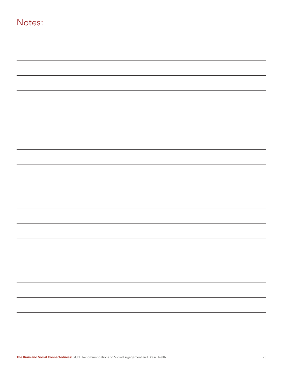| Notes: |  |
|--------|--|
|        |  |
|        |  |
|        |  |
|        |  |
|        |  |
|        |  |
|        |  |
|        |  |
|        |  |
|        |  |
|        |  |
|        |  |
|        |  |
|        |  |
|        |  |
|        |  |
|        |  |
|        |  |
|        |  |
|        |  |
|        |  |
|        |  |
|        |  |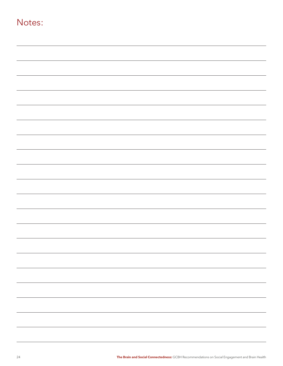| Notes: |  |  |
|--------|--|--|
|        |  |  |
|        |  |  |
|        |  |  |
|        |  |  |
|        |  |  |
|        |  |  |
|        |  |  |
|        |  |  |
|        |  |  |
|        |  |  |
|        |  |  |
|        |  |  |
|        |  |  |
|        |  |  |
|        |  |  |
|        |  |  |
|        |  |  |
|        |  |  |
|        |  |  |
|        |  |  |
|        |  |  |
|        |  |  |
|        |  |  |